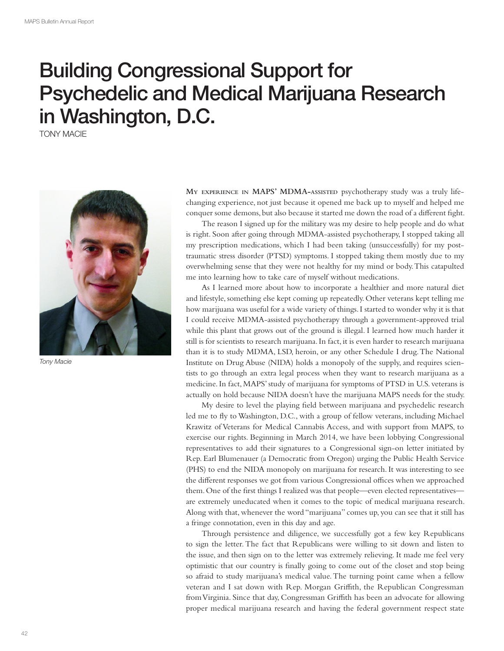## Building Congressional Support for Psychedelic and Medical Marijuana Research in Washington, D.C.

TONY MACIE



Tony Macie

**MY EXPERIENCE IN MAPS' MDMA-ASSISTED** psychotherapy study was a truly lifechanging experience, not just because it opened me back up to myself and helped me conquer some demons, but also because it started me down the road of a diferent fght.

The reason I signed up for the military was my desire to help people and do what is right. Soon after going through MDMA-assisted psychotherapy, I stopped taking all my prescription medications, which I had been taking (unsuccessfully) for my posttraumatic stress disorder (PTSD) symptoms. I stopped taking them mostly due to my overwhelming sense that they were not healthy for my mind or body. This catapulted me into learning how to take care of myself without medications.

As I learned more about how to incorporate a healthier and more natural diet and lifestyle, something else kept coming up repeatedly. Other veterans kept telling me how marijuana was useful for a wide variety of things. I started to wonder why it is that I could receive MDMA-assisted psychotherapy through a government-approved trial while this plant that grows out of the ground is illegal. I learned how much harder it still is for scientists to research marijuana. In fact, it is even harder to research marijuana than it is to study MDMA, LSD, heroin, or any other Schedule I drug. The National Institute on Drug Abuse (NIDA) holds a monopoly of the supply, and requires scientists to go through an extra legal process when they want to research marijuana as a medicine. In fact, MAPS' study of marijuana for symptoms of PTSD in U.S. veterans is actually on hold because NIDA doesn't have the marijuana MAPS needs for the study.

My desire to level the playing feld between marijuana and psychedelic research led me to fy to Washington, D.C., with a group of fellow veterans, including Michael Krawitz of Veterans for Medical Cannabis Access, and with support from MAPS, to exercise our rights. Beginning in March 2014, we have been lobbying Congressional representatives to add their signatures to a Congressional sign-on letter initiated by Rep. Earl Blumenauer (a Democratic from Oregon) urging the Public Health Service (PHS) to end the NIDA monopoly on marijuana for research. It was interesting to see the different responses we got from various Congressional offices when we approached them. One of the frst things I realized was that people—even elected representatives are extremely uneducated when it comes to the topic of medical marijuana research. Along with that, whenever the word "marijuana" comes up, you can see that it still has a fringe connotation, even in this day and age.

Through persistence and diligence, we successfully got a few key Republicans to sign the letter. The fact that Republicans were willing to sit down and listen to the issue, and then sign on to the letter was extremely relieving. It made me feel very optimistic that our country is fnally going to come out of the closet and stop being so afraid to study marijuana's medical value. The turning point came when a fellow veteran and I sat down with Rep. Morgan Griffith, the Republican Congressman from Virginia. Since that day, Congressman Grifth has been an advocate for allowing proper medical marijuana research and having the federal government respect state